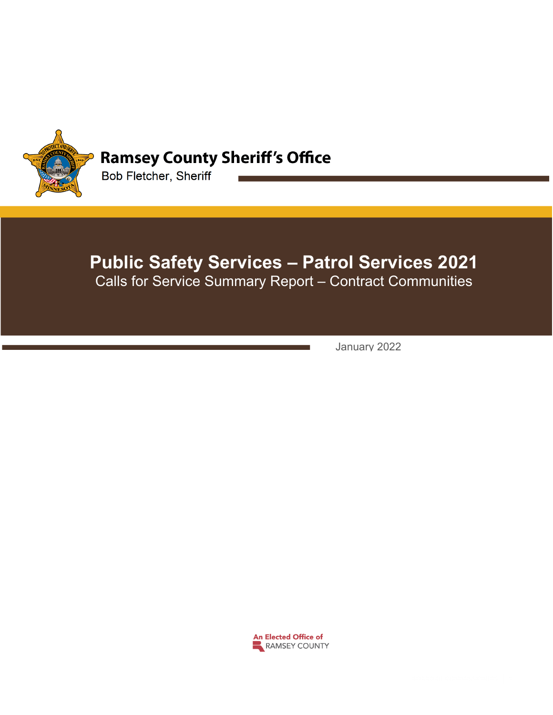

## **Ramsey County Sheriff's Office**

Bob Fletcher, Sheriff

# **Public Safety Services – Patrol Services 2021**

Calls for Service Summary Report – Contract Communities

January 2022

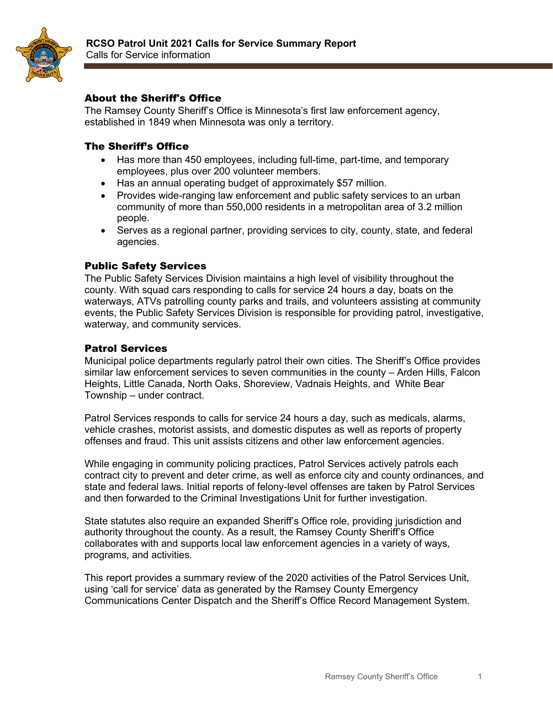

### About the Sheriff's Office

The Ramsey County Sheriff's Office is Minnesota's first law enforcement agency, established in 1849 when Minnesota was only a territory.

#### The Sheriff's Office

- Has more than 450 employees, including full-time, part-time, and temporary employees, plus over 200 volunteer members.
- Has an annual operating budget of approximately \$57 million.
- Provides wide-ranging law enforcement and public safety services to an urban community of more than 550,000 residents in a metropolitan area of 3.2 million people.
- Serves as a regional partner, providing services to city, county, state, and federal agencies.

#### Public Safety Services

The Public Safety Services Division maintains a high level of visibility throughout the county. With squad cars responding to calls for service 24 hours a day, boats on the waterways, ATVs patrolling county parks and trails, and volunteers assisting at community events, the Public Safety Services Division is responsible for providing patrol, investigative, waterway, and community services.

#### Patrol Services

Municipal police departments regularly patrol their own cities. The Sheriff's Office provides similar law enforcement services to seven communities in the county – Arden Hills, Falcon Heights, Little Canada, North Oaks, Shoreview, Vadnais Heights, and White Bear Township – under contract.

Patrol Services responds to calls for service 24 hours a day, such as medicals, alarms, vehicle crashes, motorist assists, and domestic disputes as well as reports of property offenses and fraud. This unit assists citizens and other law enforcement agencies.

While engaging in community policing practices, Patrol Services actively patrols each contract city to prevent and deter crime, as well as enforce city and county ordinances, and state and federal laws. Initial reports of felony-level offenses are taken by Patrol Services and then forwarded to the Criminal Investigations Unit for further investigation.

State statutes also require an expanded Sheriff's Office role, providing jurisdiction and authority throughout the county. As a result, the Ramsey County Sheriff's Office collaborates with and supports local law enforcement agencies in a variety of ways, programs, and activities.

This report provides a summary review of the 2020 activities of the Patrol Services Unit, using 'call for service' data as generated by the Ramsey County Emergency Communications Center Dispatch and the Sheriff's Office Record Management System.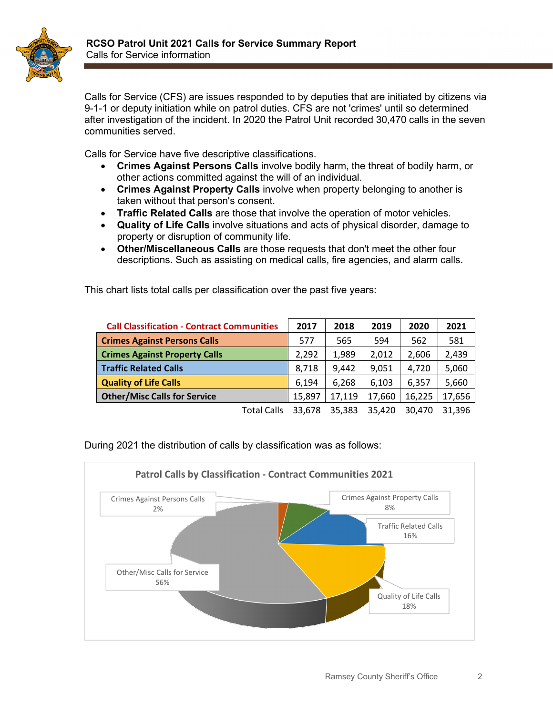

Calls for Service (CFS) are issues responded to by deputies that are initiated by citizens via 9-1-1 or deputy initiation while on patrol duties. CFS are not 'crimes' until so determined after investigation of the incident. In 2020 the Patrol Unit recorded 30,470 calls in the seven communities served.

Calls for Service have five descriptive classifications.

- **Crimes Against Persons Calls** involve bodily harm, the threat of bodily harm, or other actions committed against the will of an individual.
- **Crimes Against Property Calls** involve when property belonging to another is taken without that person's consent.
- **Traffic Related Calls** are those that involve the operation of motor vehicles.
- **Quality of Life Calls** involve situations and acts of physical disorder, damage to property or disruption of community life.
- **Other/Miscellaneous Calls** are those requests that don't meet the other four descriptions. Such as assisting on medical calls, fire agencies, and alarm calls.

This chart lists total calls per classification over the past five years:

| <b>Call Classification - Contract Communities</b> | 2017   | 2018   | 2019   | 2020   | 2021   |
|---------------------------------------------------|--------|--------|--------|--------|--------|
| <b>Crimes Against Persons Calls</b>               | 577    | 565    | 594    | 562    | 581    |
| <b>Crimes Against Property Calls</b>              | 2,292  | 1,989  | 2.012  | 2,606  | 2,439  |
| <b>Traffic Related Calls</b>                      | 8,718  | 9,442  | 9,051  | 4.720  | 5,060  |
| <b>Quality of Life Calls</b>                      | 6.194  | 6,268  | 6.103  | 6.357  | 5,660  |
| <b>Other/Misc Calls for Service</b>               | 15,897 | 17,119 | 17,660 | 16,225 | 17,656 |
| <b>Total Calls</b>                                | 33.678 | 35,383 | 35.420 | 30.470 | 31.396 |

During 2021 the distribution of calls by classification was as follows:

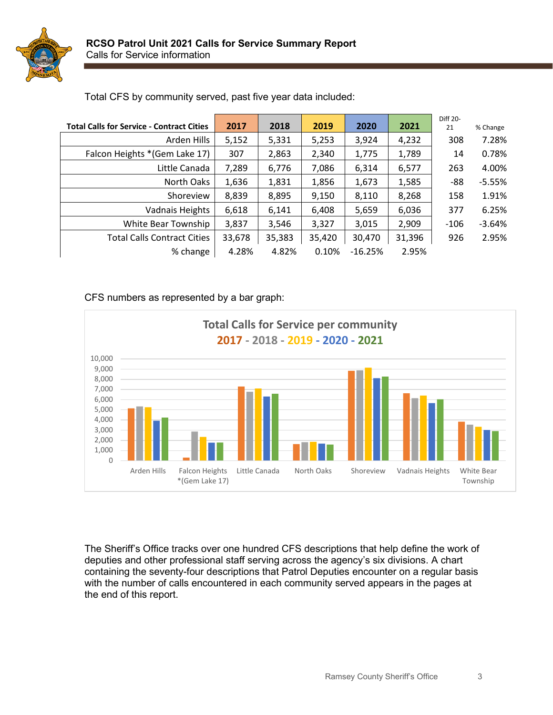

|                                                  |        |        |        |           |        | <b>Diff 20-</b> |          |
|--------------------------------------------------|--------|--------|--------|-----------|--------|-----------------|----------|
| <b>Total Calls for Service - Contract Cities</b> | 2017   | 2018   | 2019   | 2020      | 2021   | 21              | % Change |
| Arden Hills                                      | 5,152  | 5,331  | 5,253  | 3,924     | 4,232  | 308             | 7.28%    |
| Falcon Heights * (Gem Lake 17)                   | 307    | 2,863  | 2,340  | 1,775     | 1,789  | 14              | 0.78%    |
| Little Canada                                    | 7,289  | 6,776  | 7,086  | 6,314     | 6,577  | 263             | 4.00%    |
| North Oaks                                       | 1,636  | 1,831  | 1,856  | 1,673     | 1,585  | -88             | $-5.55%$ |
| Shoreview                                        | 8,839  | 8,895  | 9,150  | 8,110     | 8,268  | 158             | 1.91%    |
| Vadnais Heights                                  | 6,618  | 6,141  | 6,408  | 5,659     | 6,036  | 377             | 6.25%    |
| White Bear Township                              | 3,837  | 3,546  | 3,327  | 3,015     | 2,909  | -106            | $-3.64%$ |
| <b>Total Calls Contract Cities</b>               | 33,678 | 35,383 | 35,420 | 30,470    | 31,396 | 926             | 2.95%    |
| % change                                         | 4.28%  | 4.82%  | 0.10%  | $-16.25%$ | 2.95%  |                 |          |

Total CFS by community served, past five year data included:

#### CFS numbers as represented by a bar graph:



The Sheriff's Office tracks over one hundred CFS descriptions that help define the work of deputies and other professional staff serving across the agency's six divisions. A chart containing the seventy-four descriptions that Patrol Deputies encounter on a regular basis with the number of calls encountered in each community served appears in the pages at the end of this report.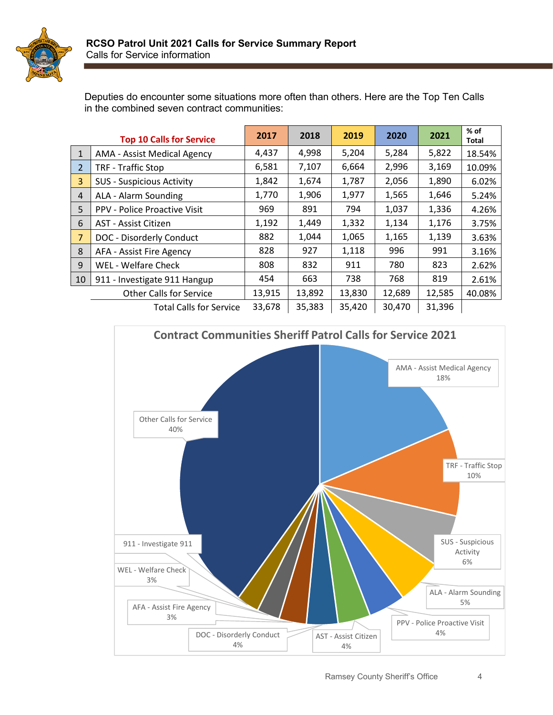

Deputies do encounter some situations more often than others. Here are the Top Ten Calls in the combined seven contract communities:

|                | <b>Top 10 Calls for Service</b>     | 2017   | 2018   | 2019   | 2020   | 2021   | $%$ of<br>Total |
|----------------|-------------------------------------|--------|--------|--------|--------|--------|-----------------|
| $\mathbf{1}$   | AMA - Assist Medical Agency         | 4,437  | 4,998  | 5,204  | 5,284  | 5,822  | 18.54%          |
| 2              | <b>TRF - Traffic Stop</b>           | 6,581  | 7,107  | 6,664  | 2,996  | 3,169  | 10.09%          |
| 3              | <b>SUS - Suspicious Activity</b>    | 1,842  | 1,674  | 1,787  | 2,056  | 1,890  | 6.02%           |
| $\overline{4}$ | ALA - Alarm Sounding                | 1,770  | 1,906  | 1,977  | 1,565  | 1,646  | 5.24%           |
| 5              | <b>PPV - Police Proactive Visit</b> | 969    | 891    | 794    | 1,037  | 1,336  | 4.26%           |
| 6              | AST - Assist Citizen                | 1,192  | 1,449  | 1,332  | 1,134  | 1,176  | 3.75%           |
| $\overline{7}$ | DOC - Disorderly Conduct            | 882    | 1,044  | 1,065  | 1,165  | 1,139  | 3.63%           |
| 8              | AFA - Assist Fire Agency            | 828    | 927    | 1,118  | 996    | 991    | 3.16%           |
| 9              | WEL - Welfare Check                 | 808    | 832    | 911    | 780    | 823    | 2.62%           |
| 10             | 911 - Investigate 911 Hangup        | 454    | 663    | 738    | 768    | 819    | 2.61%           |
|                | <b>Other Calls for Service</b>      | 13,915 | 13,892 | 13,830 | 12,689 | 12,585 | 40.08%          |
|                | <b>Total Calls for Service</b>      | 33,678 | 35,383 | 35,420 | 30,470 | 31,396 |                 |

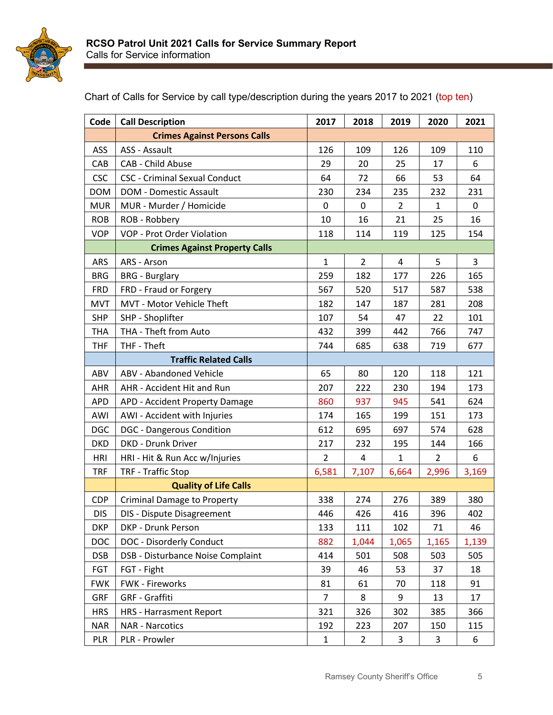

| Code       | <b>Call Description</b>              | 2017           | 2018           | 2019           | 2020           | 2021  |
|------------|--------------------------------------|----------------|----------------|----------------|----------------|-------|
|            | <b>Crimes Against Persons Calls</b>  |                |                |                |                |       |
| ASS        | ASS - Assault                        | 126            | 109            | 126            | 109            | 110   |
| CAB        | CAB - Child Abuse                    | 29             | 20             | 25             | 17             | 6     |
| <b>CSC</b> | <b>CSC - Criminal Sexual Conduct</b> | 64             | 72             | 66             | 53             | 64    |
| <b>DOM</b> | DOM - Domestic Assault               | 230            | 234            | 235            | 232            | 231   |
| <b>MUR</b> | MUR - Murder / Homicide              | 0              | 0              | $\overline{2}$ | 1              | 0     |
| <b>ROB</b> | ROB - Robbery                        | 10             | 16             | 21             | 25             | 16    |
| <b>VOP</b> | VOP - Prot Order Violation           | 118            | 114            | 119            | 125            | 154   |
|            | <b>Crimes Against Property Calls</b> |                |                |                |                |       |
| ARS        | ARS - Arson                          | $\mathbf{1}$   | $\overline{2}$ | 4              | 5              | 3     |
| <b>BRG</b> | <b>BRG</b> - Burglary                | 259            | 182            | 177            | 226            | 165   |
| <b>FRD</b> | FRD - Fraud or Forgery               | 567            | 520            | 517            | 587            | 538   |
| <b>MVT</b> | MVT - Motor Vehicle Theft            | 182            | 147            | 187            | 281            | 208   |
| <b>SHP</b> | SHP - Shoplifter                     | 107            | 54             | 47             | 22             | 101   |
| <b>THA</b> | THA - Theft from Auto                | 432            | 399            | 442            | 766            | 747   |
| <b>THF</b> | THF - Theft                          | 744            | 685            | 638            | 719            | 677   |
|            | <b>Traffic Related Calls</b>         |                |                |                |                |       |
| ABV        | ABV - Abandoned Vehicle              | 65             | 80             | 120            | 118            | 121   |
| <b>AHR</b> | AHR - Accident Hit and Run           | 207            | 222            | 230            | 194            | 173   |
| <b>APD</b> | APD - Accident Property Damage       | 860            | 937            | 945            | 541            | 624   |
| AWI        | AWI - Accident with Injuries         | 174            | 165            | 199            | 151            | 173   |
| <b>DGC</b> | <b>DGC</b> - Dangerous Condition     | 612            | 695            | 697            | 574            | 628   |
| <b>DKD</b> | <b>DKD - Drunk Driver</b>            | 217            | 232            | 195            | 144            | 166   |
| <b>HRI</b> | HRI - Hit & Run Acc w/Injuries       | $\overline{2}$ | $\overline{a}$ | $\mathbf{1}$   | $\overline{2}$ | 6     |
| <b>TRF</b> | <b>TRF - Traffic Stop</b>            | 6,581          | 7,107          | 6,664          | 2,996          | 3,169 |
|            | <b>Quality of Life Calls</b>         |                |                |                |                |       |
| <b>CDP</b> | <b>Criminal Damage to Property</b>   | 338            | 274            | 276            | 389            | 380   |
| <b>DIS</b> | DIS - Dispute Disagreement           | 446            | 426            | 416            | 396            | 402   |
| <b>DKP</b> | DKP - Drunk Person                   | 133            | 111            | 102            | 71             | 46    |
| <b>DOC</b> | DOC - Disorderly Conduct             | 882            | 1,044          | 1,065          | 1,165          | 1,139 |
| <b>DSB</b> | DSB - Disturbance Noise Complaint    | 414            | 501            | 508            | 503            | 505   |
| FGT        | FGT - Fight                          | 39             | 46             | 53             | 37             | 18    |
| <b>FWK</b> | FWK - Fireworks                      | 81             | 61             | 70             | 118            | 91    |
| <b>GRF</b> | <b>GRF</b> - Graffiti                | $\overline{7}$ | 8              | 9              | 13             | 17    |
| <b>HRS</b> | <b>HRS - Harrasment Report</b>       | 321            | 326            | 302            | 385            | 366   |
| <b>NAR</b> | <b>NAR - Narcotics</b>               | 192            | 223            | 207            | 150            | 115   |
| PLR        | PLR - Prowler                        | $\mathbf{1}$   | $\overline{2}$ | 3              | 3              | 6     |

Chart of Calls for Service by call type/description during the years 2017 to 2021 (top ten)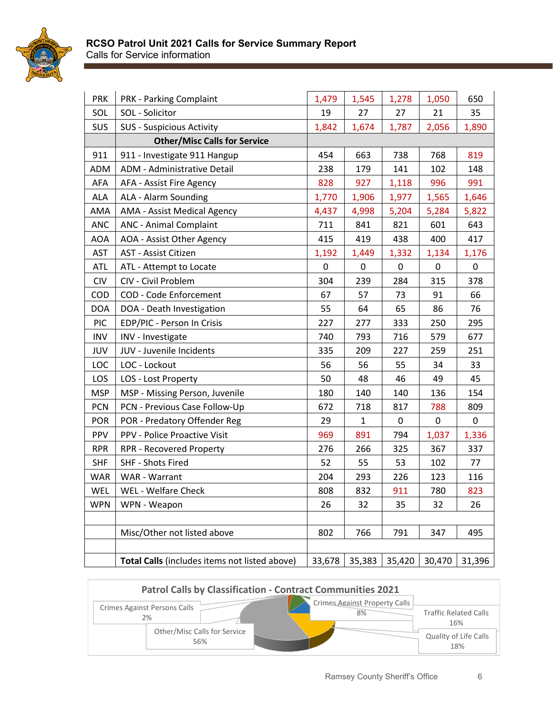

| <b>PRK</b> | <b>PRK - Parking Complaint</b>                | 1,479  | 1,545  | 1,278  | 1,050  | 650    |
|------------|-----------------------------------------------|--------|--------|--------|--------|--------|
| SOL        | SOL - Solicitor                               | 19     | 27     | 27     | 21     | 35     |
| SUS        | <b>SUS - Suspicious Activity</b>              | 1,842  | 1,674  | 1,787  | 2,056  | 1,890  |
|            | <b>Other/Misc Calls for Service</b>           |        |        |        |        |        |
| 911        | 911 - Investigate 911 Hangup                  | 454    | 663    | 738    | 768    | 819    |
| <b>ADM</b> | ADM - Administrative Detail                   | 238    | 179    | 141    | 102    | 148    |
| AFA        | AFA - Assist Fire Agency                      | 828    | 927    | 1,118  | 996    | 991    |
| <b>ALA</b> | ALA - Alarm Sounding                          | 1,770  | 1,906  | 1,977  | 1,565  | 1,646  |
| AMA        | AMA - Assist Medical Agency                   | 4,437  | 4,998  | 5,204  | 5,284  | 5,822  |
| <b>ANC</b> | <b>ANC - Animal Complaint</b>                 | 711    | 841    | 821    | 601    | 643    |
| <b>AOA</b> | AOA - Assist Other Agency                     | 415    | 419    | 438    | 400    | 417    |
| <b>AST</b> | AST - Assist Citizen                          | 1,192  | 1,449  | 1,332  | 1,134  | 1,176  |
| <b>ATL</b> | ATL - Attempt to Locate                       | 0      | 0      | 0      | 0      | 0      |
| <b>CIV</b> | CIV - Civil Problem                           | 304    | 239    | 284    | 315    | 378    |
| COD        | COD - Code Enforcement                        | 67     | 57     | 73     | 91     | 66     |
| <b>DOA</b> | DOA - Death Investigation                     | 55     | 64     | 65     | 86     | 76     |
| <b>PIC</b> | EDP/PIC - Person In Crisis                    | 227    | 277    | 333    | 250    | 295    |
| <b>INV</b> | INV - Investigate                             | 740    | 793    | 716    | 579    | 677    |
| JUV        | JUV - Juvenile Incidents                      | 335    | 209    | 227    | 259    | 251    |
| LOC        | LOC - Lockout                                 | 56     | 56     | 55     | 34     | 33     |
| LOS        | LOS - Lost Property                           | 50     | 48     | 46     | 49     | 45     |
| <b>MSP</b> | MSP - Missing Person, Juvenile                | 180    | 140    | 140    | 136    | 154    |
| <b>PCN</b> | PCN - Previous Case Follow-Up                 | 672    | 718    | 817    | 788    | 809    |
| <b>POR</b> | POR - Predatory Offender Reg                  | 29     | 1      | 0      | 0      | 0      |
| PPV        | PPV - Police Proactive Visit                  | 969    | 891    | 794    | 1,037  | 1,336  |
| <b>RPR</b> | <b>RPR - Recovered Property</b>               | 276    | 266    | 325    | 367    | 337    |
| <b>SHF</b> | SHF - Shots Fired                             | 52     | 55     | 53     | 102    | 77     |
| <b>WAR</b> | WAR - Warrant                                 | 204    | 293    | 226    | 123    | 116    |
| WEL        | WEL - Welfare Check                           | 808    | 832    | 911    | 780    | 823    |
| <b>WPN</b> | WPN - Weapon                                  | 26     | 32     | 35     | 32     | 26     |
|            |                                               |        |        |        |        |        |
|            | Misc/Other not listed above                   | 802    | 766    | 791    | 347    | 495    |
|            |                                               |        |        |        |        |        |
|            | Total Calls (includes items not listed above) | 33,678 | 35,383 | 35,420 | 30,470 | 31,396 |